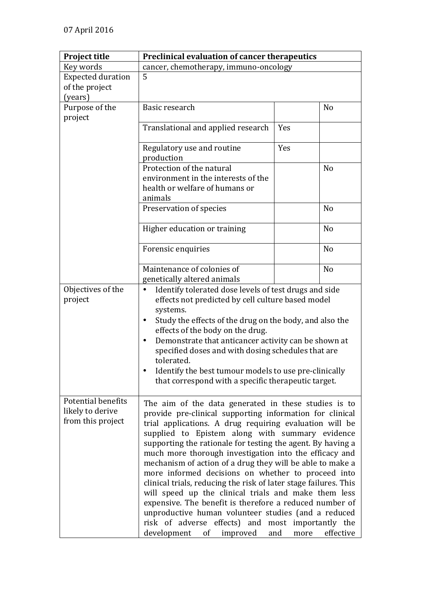| <b>Project title</b>                                               | Preclinical evaluation of cancer therapeutics                                                                                                                                                                                                                                                                                                                                                                                                                                                                                                                                                                                                                                                                                                                                                                                              |     |                |
|--------------------------------------------------------------------|--------------------------------------------------------------------------------------------------------------------------------------------------------------------------------------------------------------------------------------------------------------------------------------------------------------------------------------------------------------------------------------------------------------------------------------------------------------------------------------------------------------------------------------------------------------------------------------------------------------------------------------------------------------------------------------------------------------------------------------------------------------------------------------------------------------------------------------------|-----|----------------|
| Key words                                                          | cancer, chemotherapy, immuno-oncology                                                                                                                                                                                                                                                                                                                                                                                                                                                                                                                                                                                                                                                                                                                                                                                                      |     |                |
| <b>Expected duration</b>                                           | 5                                                                                                                                                                                                                                                                                                                                                                                                                                                                                                                                                                                                                                                                                                                                                                                                                                          |     |                |
| of the project                                                     |                                                                                                                                                                                                                                                                                                                                                                                                                                                                                                                                                                                                                                                                                                                                                                                                                                            |     |                |
| (years)                                                            |                                                                                                                                                                                                                                                                                                                                                                                                                                                                                                                                                                                                                                                                                                                                                                                                                                            |     |                |
| Purpose of the                                                     | Basic research                                                                                                                                                                                                                                                                                                                                                                                                                                                                                                                                                                                                                                                                                                                                                                                                                             |     | N <sub>0</sub> |
| project                                                            |                                                                                                                                                                                                                                                                                                                                                                                                                                                                                                                                                                                                                                                                                                                                                                                                                                            |     |                |
|                                                                    | Translational and applied research                                                                                                                                                                                                                                                                                                                                                                                                                                                                                                                                                                                                                                                                                                                                                                                                         | Yes |                |
|                                                                    | Regulatory use and routine<br>production                                                                                                                                                                                                                                                                                                                                                                                                                                                                                                                                                                                                                                                                                                                                                                                                   | Yes |                |
|                                                                    | Protection of the natural                                                                                                                                                                                                                                                                                                                                                                                                                                                                                                                                                                                                                                                                                                                                                                                                                  |     | N <sub>o</sub> |
|                                                                    | environment in the interests of the                                                                                                                                                                                                                                                                                                                                                                                                                                                                                                                                                                                                                                                                                                                                                                                                        |     |                |
|                                                                    | health or welfare of humans or                                                                                                                                                                                                                                                                                                                                                                                                                                                                                                                                                                                                                                                                                                                                                                                                             |     |                |
|                                                                    | animals                                                                                                                                                                                                                                                                                                                                                                                                                                                                                                                                                                                                                                                                                                                                                                                                                                    |     |                |
|                                                                    | Preservation of species                                                                                                                                                                                                                                                                                                                                                                                                                                                                                                                                                                                                                                                                                                                                                                                                                    |     | N <sub>o</sub> |
|                                                                    |                                                                                                                                                                                                                                                                                                                                                                                                                                                                                                                                                                                                                                                                                                                                                                                                                                            |     |                |
|                                                                    | Higher education or training                                                                                                                                                                                                                                                                                                                                                                                                                                                                                                                                                                                                                                                                                                                                                                                                               |     | N <sub>o</sub> |
|                                                                    | Forensic enquiries                                                                                                                                                                                                                                                                                                                                                                                                                                                                                                                                                                                                                                                                                                                                                                                                                         |     | N <sub>o</sub> |
|                                                                    | Maintenance of colonies of                                                                                                                                                                                                                                                                                                                                                                                                                                                                                                                                                                                                                                                                                                                                                                                                                 |     | N <sub>o</sub> |
|                                                                    | genetically altered animals                                                                                                                                                                                                                                                                                                                                                                                                                                                                                                                                                                                                                                                                                                                                                                                                                |     |                |
| Objectives of the<br>project                                       | Identify tolerated dose levels of test drugs and side<br>٠<br>effects not predicted by cell culture based model<br>systems.<br>Study the effects of the drug on the body, and also the<br>٠<br>effects of the body on the drug.<br>Demonstrate that anticancer activity can be shown at<br>٠<br>specified doses and with dosing schedules that are<br>tolerated.<br>Identify the best tumour models to use pre-clinically<br>that correspond with a specific therapeutic target.                                                                                                                                                                                                                                                                                                                                                           |     |                |
| <b>Potential benefits</b><br>likely to derive<br>from this project | The aim of the data generated in these studies is to<br>provide pre-clinical supporting information for clinical<br>trial applications. A drug requiring evaluation will be<br>supplied to Epistem along with summary evidence<br>supporting the rationale for testing the agent. By having a<br>much more thorough investigation into the efficacy and<br>mechanism of action of a drug they will be able to make a<br>more informed decisions on whether to proceed into<br>clinical trials, reducing the risk of later stage failures. This<br>will speed up the clinical trials and make them less<br>expensive. The benefit is therefore a reduced number of<br>unproductive human volunteer studies (and a reduced<br>risk of adverse effects) and most importantly the<br>development<br>improved<br>of<br>and<br>effective<br>more |     |                |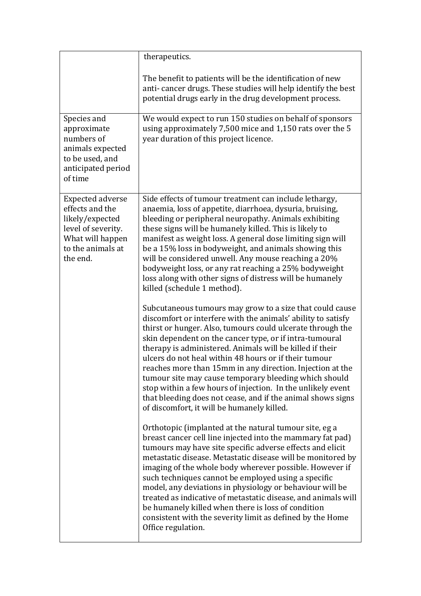|                                                                                                                                          | therapeutics.                                                                                                                                                                                                                                                                                                                                                                                                                                                                                                                                                                                                                                                            |  |
|------------------------------------------------------------------------------------------------------------------------------------------|--------------------------------------------------------------------------------------------------------------------------------------------------------------------------------------------------------------------------------------------------------------------------------------------------------------------------------------------------------------------------------------------------------------------------------------------------------------------------------------------------------------------------------------------------------------------------------------------------------------------------------------------------------------------------|--|
|                                                                                                                                          | The benefit to patients will be the identification of new<br>anti-cancer drugs. These studies will help identify the best<br>potential drugs early in the drug development process.                                                                                                                                                                                                                                                                                                                                                                                                                                                                                      |  |
| Species and<br>approximate<br>numbers of<br>animals expected<br>to be used, and<br>anticipated period<br>of time                         | We would expect to run 150 studies on behalf of sponsors<br>using approximately 7,500 mice and 1,150 rats over the 5<br>year duration of this project licence.                                                                                                                                                                                                                                                                                                                                                                                                                                                                                                           |  |
| <b>Expected adverse</b><br>effects and the<br>likely/expected<br>level of severity.<br>What will happen<br>to the animals at<br>the end. | Side effects of tumour treatment can include lethargy,<br>anaemia, loss of appetite, diarrhoea, dysuria, bruising,<br>bleeding or peripheral neuropathy. Animals exhibiting<br>these signs will be humanely killed. This is likely to<br>manifest as weight loss. A general dose limiting sign will<br>be a 15% loss in bodyweight, and animals showing this<br>will be considered unwell. Any mouse reaching a 20%<br>bodyweight loss, or any rat reaching a 25% bodyweight<br>loss along with other signs of distress will be humanely<br>killed (schedule 1 method).                                                                                                  |  |
|                                                                                                                                          | Subcutaneous tumours may grow to a size that could cause<br>discomfort or interfere with the animals' ability to satisfy<br>thirst or hunger. Also, tumours could ulcerate through the<br>skin dependent on the cancer type, or if intra-tumoural<br>therapy is administered. Animals will be killed if their<br>ulcers do not heal within 48 hours or if their tumour<br>reaches more than 15mm in any direction. Injection at the<br>tumour site may cause temporary bleeding which should<br>stop within a few hours of injection. In the unlikely event<br>that bleeding does not cease, and if the animal shows signs<br>of discomfort, it will be humanely killed. |  |
|                                                                                                                                          | Orthotopic (implanted at the natural tumour site, eg a<br>breast cancer cell line injected into the mammary fat pad)<br>tumours may have site specific adverse effects and elicit<br>metastatic disease. Metastatic disease will be monitored by<br>imaging of the whole body wherever possible. However if<br>such techniques cannot be employed using a specific<br>model, any deviations in physiology or behaviour will be<br>treated as indicative of metastatic disease, and animals will<br>be humanely killed when there is loss of condition<br>consistent with the severity limit as defined by the Home<br>Office regulation.                                 |  |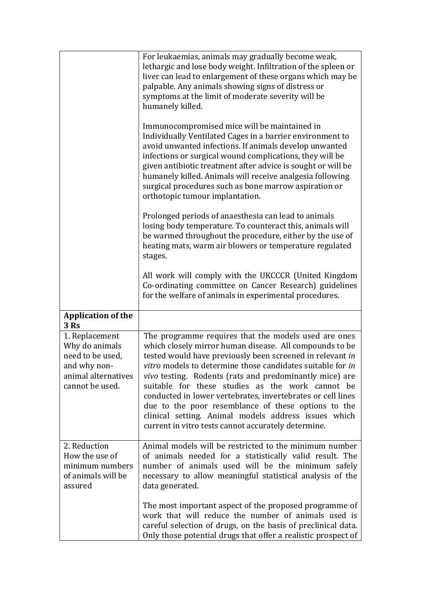|                                                                                                                | For leukaemias, animals may gradually become weak,<br>lethargic and lose body weight. Infiltration of the spleen or<br>liver can lead to enlargement of these organs which may be<br>palpable. Any animals showing signs of distress or<br>symptoms at the limit of moderate severity will be<br>humanely killed.<br>Immunocompromised mice will be maintained in<br>Individually Ventilated Cages in a barrier environment to<br>avoid unwanted infections. If animals develop unwanted<br>infections or surgical wound complications, they will be<br>given antibiotic treatment after advice is sought or will be<br>humanely killed. Animals will receive analgesia following<br>surgical procedures such as bone marrow aspiration or<br>orthotopic tumour implantation. |  |
|----------------------------------------------------------------------------------------------------------------|-------------------------------------------------------------------------------------------------------------------------------------------------------------------------------------------------------------------------------------------------------------------------------------------------------------------------------------------------------------------------------------------------------------------------------------------------------------------------------------------------------------------------------------------------------------------------------------------------------------------------------------------------------------------------------------------------------------------------------------------------------------------------------|--|
|                                                                                                                | Prolonged periods of anaesthesia can lead to animals<br>losing body temperature. To counteract this, animals will<br>be warmed throughout the procedure, either by the use of<br>heating mats, warm air blowers or temperature regulated<br>stages.                                                                                                                                                                                                                                                                                                                                                                                                                                                                                                                           |  |
|                                                                                                                | All work will comply with the UKCCCR (United Kingdom<br>Co-ordinating committee on Cancer Research) guidelines<br>for the welfare of animals in experimental procedures.                                                                                                                                                                                                                                                                                                                                                                                                                                                                                                                                                                                                      |  |
| <b>Application of the</b><br>3Rs                                                                               |                                                                                                                                                                                                                                                                                                                                                                                                                                                                                                                                                                                                                                                                                                                                                                               |  |
| 1. Replacement<br>Why do animals<br>need to be used,<br>and why non-<br>animal alternatives<br>cannot be used. | The programme requires that the models used are ones<br>which closely mirror human disease. All compounds to be<br>tested would have previously been screened in relevant in<br>vitro models to determine those candidates suitable for in<br>vivo testing. Rodents (rats and predominantly mice) are<br>suitable for these studies as the work cannot be<br>conducted in lower vertebrates, invertebrates or cell lines<br>due to the poor resemblance of these options to the<br>clinical setting. Animal models address issues which<br>current in vitro tests cannot accurately determine.                                                                                                                                                                                |  |
| 2. Reduction<br>How the use of<br>minimum numbers<br>of animals will be<br>assured                             | Animal models will be restricted to the minimum number<br>of animals needed for a statistically valid result. The<br>number of animals used will be the minimum safely<br>necessary to allow meaningful statistical analysis of the<br>data generated.                                                                                                                                                                                                                                                                                                                                                                                                                                                                                                                        |  |
|                                                                                                                | The most important aspect of the proposed programme of<br>work that will reduce the number of animals used is<br>careful selection of drugs, on the basis of preclinical data.<br>Only those potential drugs that offer a realistic prospect of                                                                                                                                                                                                                                                                                                                                                                                                                                                                                                                               |  |